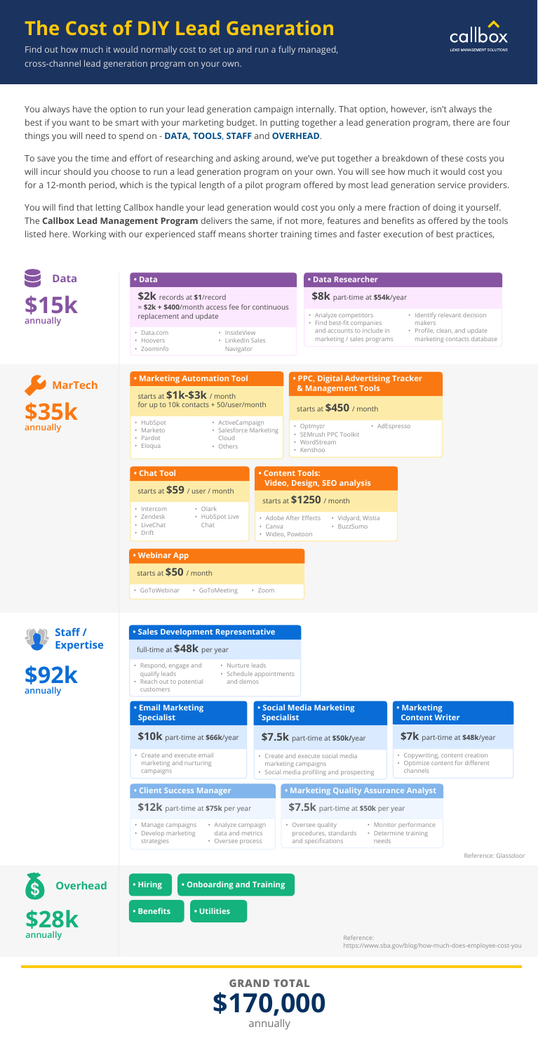# **The Cost of DIY Lead Generation**

Find out how much it would normally cost to set up and run a fully managed, cross-channel lead generation program on your own.

You always have the option to run your lead generation campaign internally. That option, however, isn't always the best if you want to be smart with your marketing budget. In putting together a lead generation program, there are four things you will need to spend on - **DATA, TOOLS**, **STAFF** and **OVERHEAD**.

To save you the time and effort of researching and asking around, we've put together a breakdown of these costs you will incur should you choose to run a lead generation program on your own. You will see how much it would cost you for a 12-month period, which is the typical length of a pilot program offered by most lead generation service providers.

You will find that letting Callbox handle your lead generation would cost you only a mere fraction of doing it yourself. The **Callbox Lead Management Program** delivers the same, if not more, features and benefits as offered by the tools listed here. Working with our experienced staff means shorter training times and faster execution of best practices,